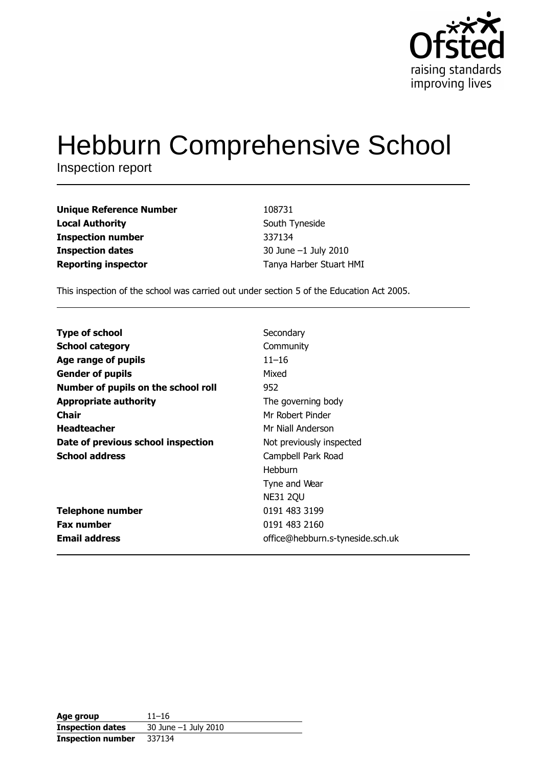

# **Hebburn Comprehensive School**

Inspection report

**Unique Reference Number Local Authority Inspection number Inspection dates Reporting inspector** 

108731 South Tyneside 337134 30 June -1 July 2010 Tanya Harber Stuart HMI

This inspection of the school was carried out under section 5 of the Education Act 2005.

| <b>Type of school</b>               | Secondary                        |
|-------------------------------------|----------------------------------|
| <b>School category</b>              | Community                        |
| Age range of pupils                 | $11 - 16$                        |
| <b>Gender of pupils</b>             | Mixed                            |
| Number of pupils on the school roll | 952                              |
| <b>Appropriate authority</b>        | The governing body               |
| Chair                               | Mr Robert Pinder                 |
| <b>Headteacher</b>                  | Mr Niall Anderson                |
| Date of previous school inspection  | Not previously inspected         |
| <b>School address</b>               | Campbell Park Road               |
|                                     | Hebburn                          |
|                                     | Tyne and Wear                    |
|                                     | <b>NE31 2QU</b>                  |
| <b>Telephone number</b>             | 0191 483 3199                    |
| <b>Fax number</b>                   | 0191 483 2160                    |
| <b>Email address</b>                | office@hebburn.s-tyneside.sch.uk |

| Age group                | $11 - 16$                |
|--------------------------|--------------------------|
| <b>Inspection dates</b>  | $30$ June $-1$ July 2010 |
| <b>Inspection number</b> | 337134                   |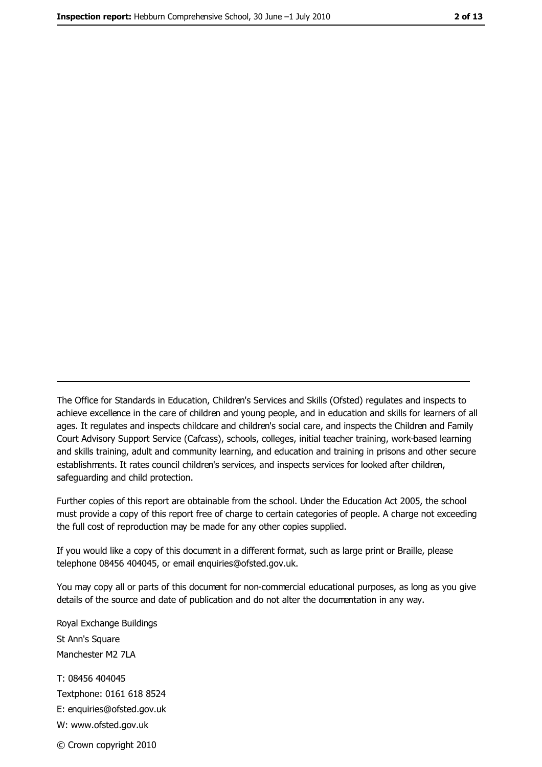The Office for Standards in Education, Children's Services and Skills (Ofsted) regulates and inspects to achieve excellence in the care of children and young people, and in education and skills for learners of all ages. It regulates and inspects childcare and children's social care, and inspects the Children and Family Court Advisory Support Service (Cafcass), schools, colleges, initial teacher training, work-based learning and skills training, adult and community learning, and education and training in prisons and other secure establishments. It rates council children's services, and inspects services for looked after children, safequarding and child protection.

Further copies of this report are obtainable from the school. Under the Education Act 2005, the school must provide a copy of this report free of charge to certain categories of people. A charge not exceeding the full cost of reproduction may be made for any other copies supplied.

If you would like a copy of this document in a different format, such as large print or Braille, please telephone 08456 404045, or email enquiries@ofsted.gov.uk.

You may copy all or parts of this document for non-commercial educational purposes, as long as you give details of the source and date of publication and do not alter the documentation in any way.

Royal Exchange Buildings St Ann's Square Manchester M2 7LA T: 08456 404045 Textphone: 0161 618 8524 E: enquiries@ofsted.gov.uk W: www.ofsted.gov.uk © Crown copyright 2010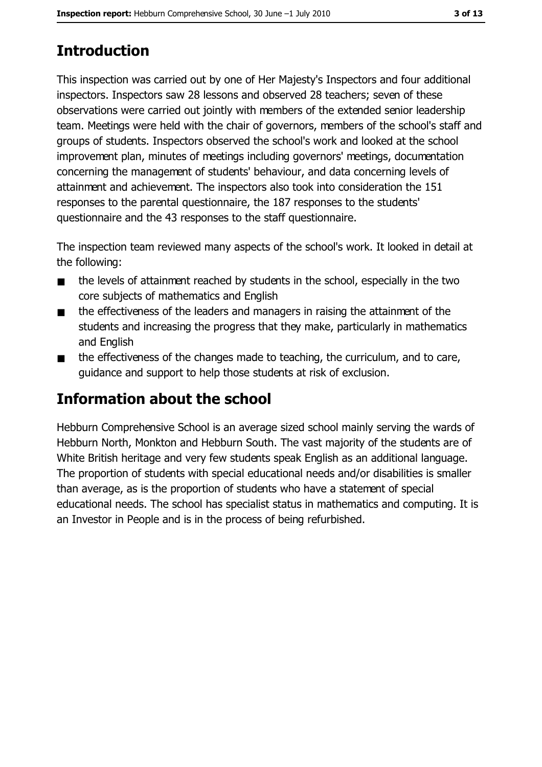# **Introduction**

This inspection was carried out by one of Her Majesty's Inspectors and four additional inspectors. Inspectors saw 28 lessons and observed 28 teachers; seven of these observations were carried out jointly with members of the extended senior leadership team. Meetings were held with the chair of governors, members of the school's staff and groups of students. Inspectors observed the school's work and looked at the school improvement plan, minutes of meetings including governors' meetings, documentation concerning the management of students' behaviour, and data concerning levels of attainment and achievement. The inspectors also took into consideration the 151 responses to the parental questionnaire, the 187 responses to the students' questionnaire and the 43 responses to the staff questionnaire.

The inspection team reviewed many aspects of the school's work. It looked in detail at the following:

- the levels of attainment reached by students in the school, especially in the two  $\blacksquare$ core subjects of mathematics and English
- the effectiveness of the leaders and managers in raising the attainment of the  $\blacksquare$ students and increasing the progress that they make, particularly in mathematics and English
- the effectiveness of the changes made to teaching, the curriculum, and to care,  $\blacksquare$ guidance and support to help those students at risk of exclusion.

# Information about the school

Hebburn Comprehensive School is an average sized school mainly serving the wards of Hebburn North, Monkton and Hebburn South. The vast majority of the students are of White British heritage and very few students speak English as an additional language. The proportion of students with special educational needs and/or disabilities is smaller than average, as is the proportion of students who have a statement of special educational needs. The school has specialist status in mathematics and computing. It is an Investor in People and is in the process of being refurbished.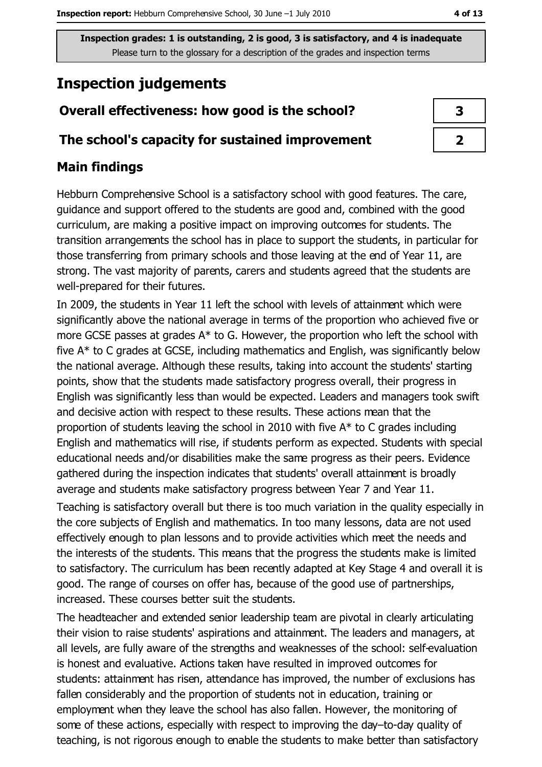# **Inspection judgements**

# Overall effectiveness: how good is the school?

# The school's capacity for sustained improvement

# **Main findings**

Hebburn Comprehensive School is a satisfactory school with good features. The care, guidance and support offered to the students are good and, combined with the good curriculum, are making a positive impact on improving outcomes for students. The transition arrangements the school has in place to support the students, in particular for those transferring from primary schools and those leaving at the end of Year 11, are strong. The vast majority of parents, carers and students agreed that the students are well-prepared for their futures.

In 2009, the students in Year 11 left the school with levels of attainment which were significantly above the national average in terms of the proportion who achieved five or more GCSE passes at grades A\* to G. However, the proportion who left the school with five A\* to C grades at GCSE, including mathematics and English, was significantly below the national average. Although these results, taking into account the students' starting points, show that the students made satisfactory progress overall, their progress in English was significantly less than would be expected. Leaders and managers took swift and decisive action with respect to these results. These actions mean that the proportion of students leaving the school in 2010 with five  $A^*$  to C grades including English and mathematics will rise, if students perform as expected. Students with special educational needs and/or disabilities make the same progress as their peers. Evidence gathered during the inspection indicates that students' overall attainment is broadly average and students make satisfactory progress between Year 7 and Year 11.

Teaching is satisfactory overall but there is too much variation in the quality especially in the core subjects of English and mathematics. In too many lessons, data are not used effectively enough to plan lessons and to provide activities which meet the needs and the interests of the students. This means that the progress the students make is limited to satisfactory. The curriculum has been recently adapted at Key Stage 4 and overall it is good. The range of courses on offer has, because of the good use of partnerships, increased. These courses better suit the students.

The headteacher and extended senior leadership team are pivotal in clearly articulating their vision to raise students' aspirations and attainment. The leaders and managers, at all levels, are fully aware of the strengths and weaknesses of the school: self-evaluation is honest and evaluative. Actions taken have resulted in improved outcomes for students: attainment has risen, attendance has improved, the number of exclusions has fallen considerably and the proportion of students not in education, training or employment when they leave the school has also fallen. However, the monitoring of some of these actions, especially with respect to improving the day-to-day quality of teaching, is not rigorous enough to enable the students to make better than satisfactory

| 3 |  |
|---|--|
|   |  |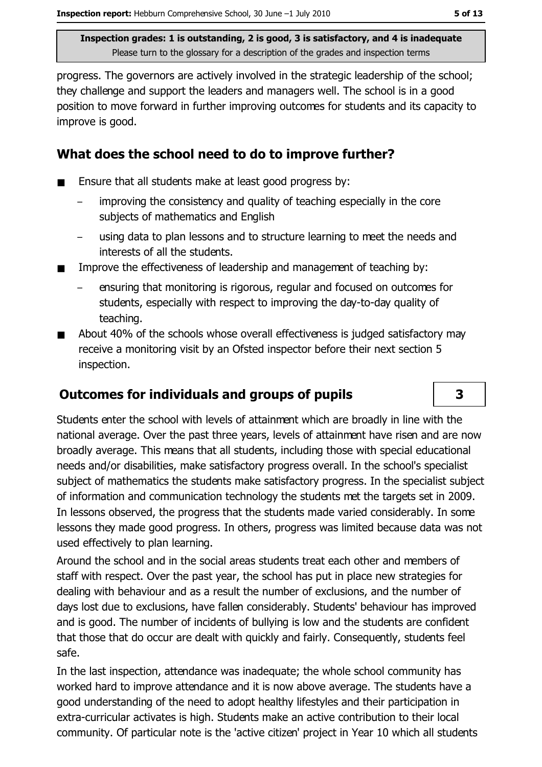progress. The governors are actively involved in the strategic leadership of the school; they challenge and support the leaders and managers well. The school is in a good position to move forward in further improving outcomes for students and its capacity to improve is good.

# What does the school need to do to improve further?

- Ensure that all students make at least good progress by: п
	- improving the consistency and quality of teaching especially in the core subjects of mathematics and English
	- using data to plan lessons and to structure learning to meet the needs and interests of all the students.
- Improve the effectiveness of leadership and management of teaching by:
	- ensuring that monitoring is rigorous, regular and focused on outcomes for students, especially with respect to improving the day-to-day quality of teaching.
- About 40% of the schools whose overall effectiveness is judged satisfactory may  $\blacksquare$ receive a monitoring visit by an Ofsted inspector before their next section 5 inspection.

## **Outcomes for individuals and groups of pupils**

Students enter the school with levels of attainment which are broadly in line with the national average. Over the past three years, levels of attainment have risen and are now broadly average. This means that all students, including those with special educational needs and/or disabilities, make satisfactory progress overall. In the school's specialist subject of mathematics the students make satisfactory progress. In the specialist subject of information and communication technology the students met the targets set in 2009. In lessons observed, the progress that the students made varied considerably. In some lessons they made good progress. In others, progress was limited because data was not used effectively to plan learning.

Around the school and in the social areas students treat each other and members of staff with respect. Over the past year, the school has put in place new strategies for dealing with behaviour and as a result the number of exclusions, and the number of days lost due to exclusions, have fallen considerably. Students' behaviour has improved and is good. The number of incidents of bullying is low and the students are confident that those that do occur are dealt with quickly and fairly. Consequently, students feel safe.

In the last inspection, attendance was inadequate; the whole school community has worked hard to improve attendance and it is now above average. The students have a good understanding of the need to adopt healthy lifestyles and their participation in extra-curricular activates is high. Students make an active contribution to their local community. Of particular note is the 'active citizen' project in Year 10 which all students

3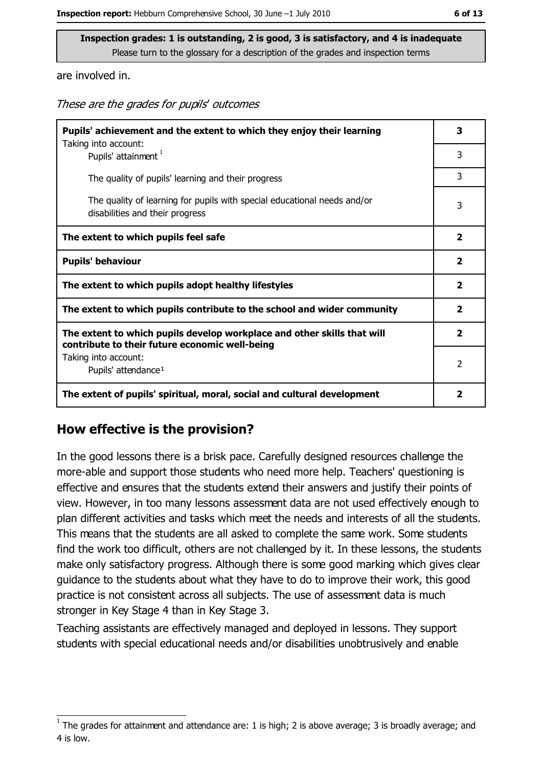are involved in.

These are the grades for pupils' outcomes

| Pupils' achievement and the extent to which they enjoy their learning                                                     |   |
|---------------------------------------------------------------------------------------------------------------------------|---|
| Taking into account:<br>Pupils' attainment <sup>1</sup>                                                                   | 3 |
| The quality of pupils' learning and their progress                                                                        | 3 |
| The quality of learning for pupils with special educational needs and/or<br>disabilities and their progress               | 3 |
| The extent to which pupils feel safe                                                                                      |   |
| <b>Pupils' behaviour</b>                                                                                                  |   |
| The extent to which pupils adopt healthy lifestyles                                                                       |   |
| The extent to which pupils contribute to the school and wider community                                                   |   |
| The extent to which pupils develop workplace and other skills that will<br>contribute to their future economic well-being |   |
| Taking into account:<br>Pupils' attendance <sup>1</sup>                                                                   |   |
| The extent of pupils' spiritual, moral, social and cultural development                                                   |   |

## How effective is the provision?

In the good lessons there is a brisk pace, Carefully designed resources challenge the more-able and support those students who need more help. Teachers' questioning is effective and ensures that the students extend their answers and justify their points of view. However, in too many lessons assessment data are not used effectively enough to plan different activities and tasks which meet the needs and interests of all the students. This means that the students are all asked to complete the same work. Some students find the work too difficult, others are not challenged by it. In these lessons, the students make only satisfactory progress. Although there is some good marking which gives clear quidance to the students about what they have to do to improve their work, this good practice is not consistent across all subjects. The use of assessment data is much stronger in Key Stage 4 than in Key Stage 3.

Teaching assistants are effectively managed and deployed in lessons. They support students with special educational needs and/or disabilities unobtrusively and enable

The grades for attainment and attendance are: 1 is high; 2 is above average; 3 is broadly average; and 4 is low.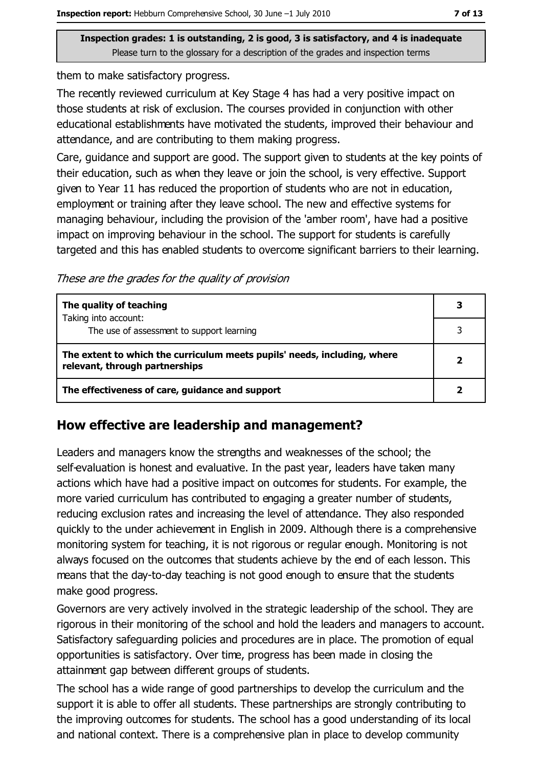them to make satisfactory progress.

The recently reviewed curriculum at Key Stage 4 has had a very positive impact on those students at risk of exclusion. The courses provided in conjunction with other educational establishments have motivated the students, improved their behaviour and attendance, and are contributing to them making progress.

Care, quidance and support are good. The support given to students at the key points of their education, such as when they leave or join the school, is very effective. Support given to Year 11 has reduced the proportion of students who are not in education, employment or training after they leave school. The new and effective systems for managing behaviour, including the provision of the 'amber room', have had a positive impact on improving behaviour in the school. The support for students is carefully targeted and this has enabled students to overcome significant barriers to their learning.

These are the grades for the quality of provision

| The quality of teaching                                                                                    | 3 |
|------------------------------------------------------------------------------------------------------------|---|
| Taking into account:<br>The use of assessment to support learning                                          |   |
| The extent to which the curriculum meets pupils' needs, including, where<br>relevant, through partnerships |   |
| The effectiveness of care, guidance and support                                                            |   |

#### How effective are leadership and management?

Leaders and managers know the strengths and weaknesses of the school; the self-evaluation is honest and evaluative. In the past year, leaders have taken many actions which have had a positive impact on outcomes for students. For example, the more varied curriculum has contributed to engaging a greater number of students, reducing exclusion rates and increasing the level of attendance. They also responded quickly to the under achievement in English in 2009. Although there is a comprehensive monitoring system for teaching, it is not rigorous or regular enough. Monitoring is not always focused on the outcomes that students achieve by the end of each lesson. This means that the day-to-day teaching is not good enough to ensure that the students make good progress.

Governors are very actively involved in the strategic leadership of the school. They are rigorous in their monitoring of the school and hold the leaders and managers to account. Satisfactory safeguarding policies and procedures are in place. The promotion of equal opportunities is satisfactory. Over time, progress has been made in closing the attainment gap between different groups of students.

The school has a wide range of good partnerships to develop the curriculum and the support it is able to offer all students. These partnerships are strongly contributing to the improving outcomes for students. The school has a good understanding of its local and national context. There is a comprehensive plan in place to develop community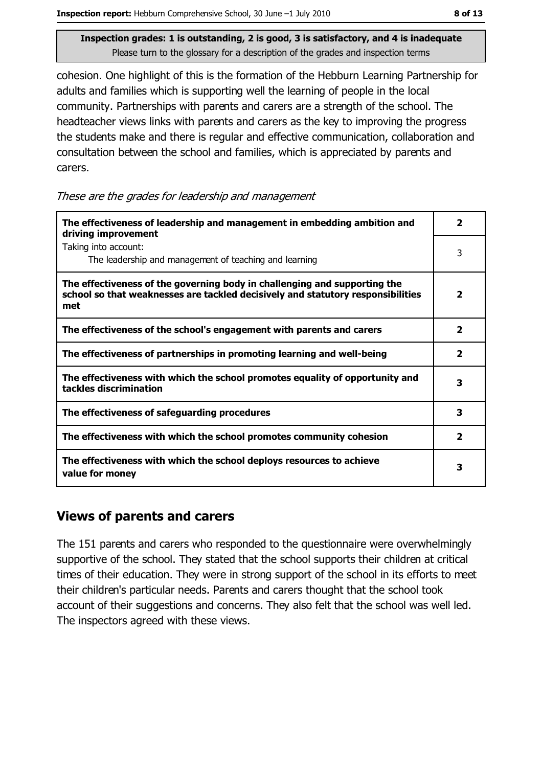cohesion. One highlight of this is the formation of the Hebburn Learning Partnership for adults and families which is supporting well the learning of people in the local community. Partnerships with parents and carers are a strength of the school. The headteacher views links with parents and carers as the key to improving the progress the students make and there is regular and effective communication, collaboration and consultation between the school and families, which is appreciated by parents and carers.

These are the grades for leadership and management

| The effectiveness of leadership and management in embedding ambition and<br>driving improvement                                                                     |                         |
|---------------------------------------------------------------------------------------------------------------------------------------------------------------------|-------------------------|
| Taking into account:<br>The leadership and management of teaching and learning                                                                                      | 3                       |
| The effectiveness of the governing body in challenging and supporting the<br>school so that weaknesses are tackled decisively and statutory responsibilities<br>met |                         |
| The effectiveness of the school's engagement with parents and carers                                                                                                | $\overline{\mathbf{2}}$ |
| The effectiveness of partnerships in promoting learning and well-being                                                                                              | $\overline{\mathbf{2}}$ |
| The effectiveness with which the school promotes equality of opportunity and<br>tackles discrimination                                                              | 3                       |
| The effectiveness of safeguarding procedures                                                                                                                        | 3                       |
| The effectiveness with which the school promotes community cohesion                                                                                                 | $\overline{\mathbf{2}}$ |
| The effectiveness with which the school deploys resources to achieve<br>value for money                                                                             |                         |

## **Views of parents and carers**

The 151 parents and carers who responded to the questionnaire were overwhelmingly supportive of the school. They stated that the school supports their children at critical times of their education. They were in strong support of the school in its efforts to meet their children's particular needs. Parents and carers thought that the school took account of their suggestions and concerns. They also felt that the school was well led. The inspectors agreed with these views.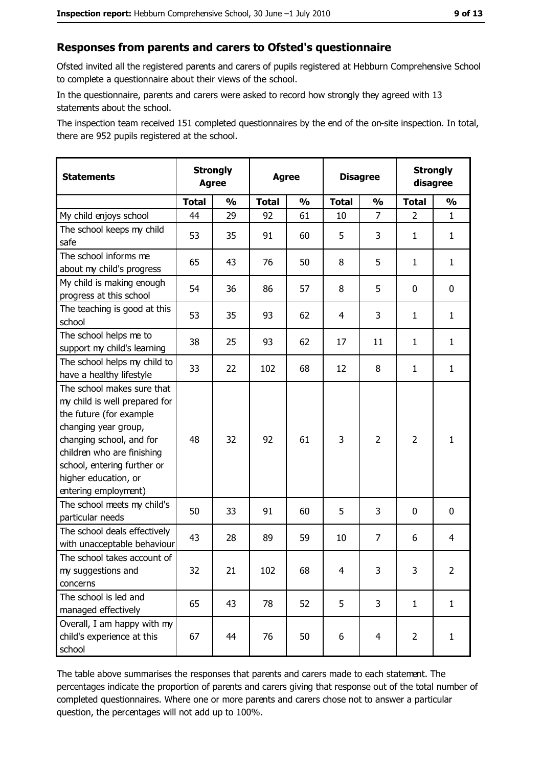# Responses from parents and carers to Ofsted's questionnaire

Ofsted invited all the registered parents and carers of pupils registered at Hebburn Comprehensive School to complete a questionnaire about their views of the school.

In the questionnaire, parents and carers were asked to record how strongly they agreed with 13 statements about the school.

The inspection team received 151 completed questionnaires by the end of the on-site inspection. In total, there are 952 pupils registered at the school.

| <b>Statements</b>                                                                                                                                                                                                                                       | <b>Strongly</b><br><b>Agree</b> |               | <b>Agree</b> |               | <b>Disagree</b> |                | <b>Strongly</b><br>disagree |                |
|---------------------------------------------------------------------------------------------------------------------------------------------------------------------------------------------------------------------------------------------------------|---------------------------------|---------------|--------------|---------------|-----------------|----------------|-----------------------------|----------------|
|                                                                                                                                                                                                                                                         | <b>Total</b>                    | $\frac{1}{2}$ | <b>Total</b> | $\frac{0}{0}$ | <b>Total</b>    | $\frac{0}{0}$  | <b>Total</b>                | $\frac{1}{2}$  |
| My child enjoys school                                                                                                                                                                                                                                  | 44                              | 29            | 92           | 61            | 10              | 7              | 2                           | $\mathbf{1}$   |
| The school keeps my child<br>safe                                                                                                                                                                                                                       | 53                              | 35            | 91           | 60            | 5               | 3              | 1                           | $\mathbf{1}$   |
| The school informs me<br>about my child's progress                                                                                                                                                                                                      | 65                              | 43            | 76           | 50            | 8               | 5              | 1                           | $\mathbf{1}$   |
| My child is making enough<br>progress at this school                                                                                                                                                                                                    | 54                              | 36            | 86           | 57            | 8               | 5              | 0                           | $\mathbf 0$    |
| The teaching is good at this<br>school                                                                                                                                                                                                                  | 53                              | 35            | 93           | 62            | $\overline{4}$  | 3              | 1                           | $\mathbf{1}$   |
| The school helps me to<br>support my child's learning                                                                                                                                                                                                   | 38                              | 25            | 93           | 62            | 17              | 11             | 1                           | $\mathbf{1}$   |
| The school helps my child to<br>have a healthy lifestyle                                                                                                                                                                                                | 33                              | 22            | 102          | 68            | 12              | 8              | 1                           | $\mathbf{1}$   |
| The school makes sure that<br>my child is well prepared for<br>the future (for example<br>changing year group,<br>changing school, and for<br>children who are finishing<br>school, entering further or<br>higher education, or<br>entering employment) | 48                              | 32            | 92           | 61            | 3               | $\overline{2}$ | $\overline{2}$              | $\mathbf{1}$   |
| The school meets my child's<br>particular needs                                                                                                                                                                                                         | 50                              | 33            | 91           | 60            | 5               | 3              | $\Omega$                    | 0              |
| The school deals effectively<br>with unacceptable behaviour                                                                                                                                                                                             | 43                              | 28            | 89           | 59            | 10              | $\overline{7}$ | 6                           | $\overline{4}$ |
| The school takes account of<br>my suggestions and<br>concerns                                                                                                                                                                                           | 32                              | 21            | 102          | 68            | 4               | 3              | 3                           | $\overline{2}$ |
| The school is led and<br>managed effectively                                                                                                                                                                                                            | 65                              | 43            | 78           | 52            | 5               | 3              | $\mathbf{1}$                | $\mathbf{1}$   |
| Overall, I am happy with my<br>child's experience at this<br>school                                                                                                                                                                                     | 67                              | 44            | 76           | 50            | 6               | $\overline{4}$ | $\overline{2}$              | $\mathbf{1}$   |

The table above summarises the responses that parents and carers made to each statement. The percentages indicate the proportion of parents and carers giving that response out of the total number of completed questionnaires. Where one or more parents and carers chose not to answer a particular question, the percentages will not add up to 100%.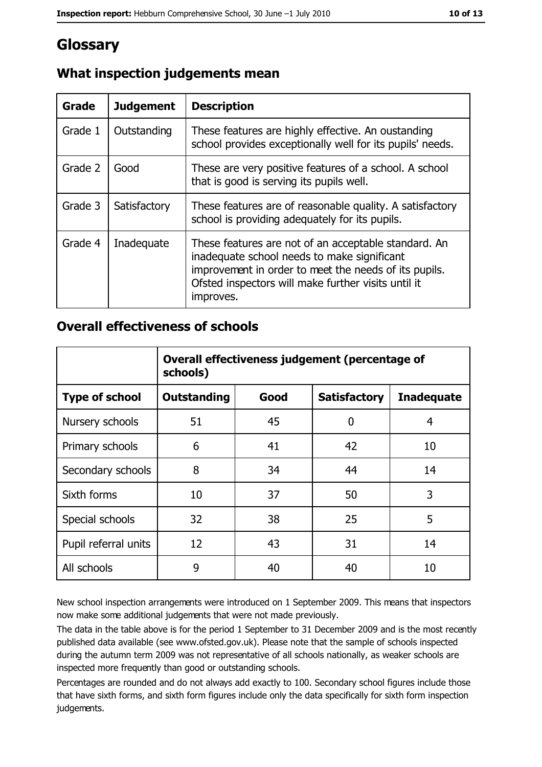# Glossary

| Grade   | <b>Judgement</b> | <b>Description</b>                                                                                                                                                                                                               |  |
|---------|------------------|----------------------------------------------------------------------------------------------------------------------------------------------------------------------------------------------------------------------------------|--|
| Grade 1 | Outstanding      | These features are highly effective. An oustanding<br>school provides exceptionally well for its pupils' needs.                                                                                                                  |  |
| Grade 2 | Good             | These are very positive features of a school. A school<br>that is good is serving its pupils well.                                                                                                                               |  |
| Grade 3 | Satisfactory     | These features are of reasonable quality. A satisfactory<br>school is providing adequately for its pupils.                                                                                                                       |  |
| Grade 4 | Inadequate       | These features are not of an acceptable standard. An<br>inadequate school needs to make significant<br>improvement in order to meet the needs of its pupils.<br>Ofsted inspectors will make further visits until it<br>improves. |  |

# What inspection judgements mean

## **Overall effectiveness of schools**

|                       | Overall effectiveness judgement (percentage of<br>schools) |      |                     |                   |
|-----------------------|------------------------------------------------------------|------|---------------------|-------------------|
| <b>Type of school</b> | <b>Outstanding</b>                                         | Good | <b>Satisfactory</b> | <b>Inadequate</b> |
| Nursery schools       | 51                                                         | 45   | 0                   | 4                 |
| Primary schools       | 6                                                          | 41   | 42                  | 10                |
| Secondary schools     | 8                                                          | 34   | 44                  | 14                |
| Sixth forms           | 10                                                         | 37   | 50                  | 3                 |
| Special schools       | 32                                                         | 38   | 25                  | 5                 |
| Pupil referral units  | 12                                                         | 43   | 31                  | 14                |
| All schools           | 9                                                          | 40   | 40                  | 10                |

New school inspection arrangements were introduced on 1 September 2009. This means that inspectors now make some additional judgements that were not made previously.

The data in the table above is for the period 1 September to 31 December 2009 and is the most recently published data available (see www.ofsted.gov.uk). Please note that the sample of schools inspected during the autumn term 2009 was not representative of all schools nationally, as weaker schools are inspected more frequently than good or outstanding schools.

Percentages are rounded and do not always add exactly to 100. Secondary school figures include those that have sixth forms, and sixth form figures include only the data specifically for sixth form inspection judgements.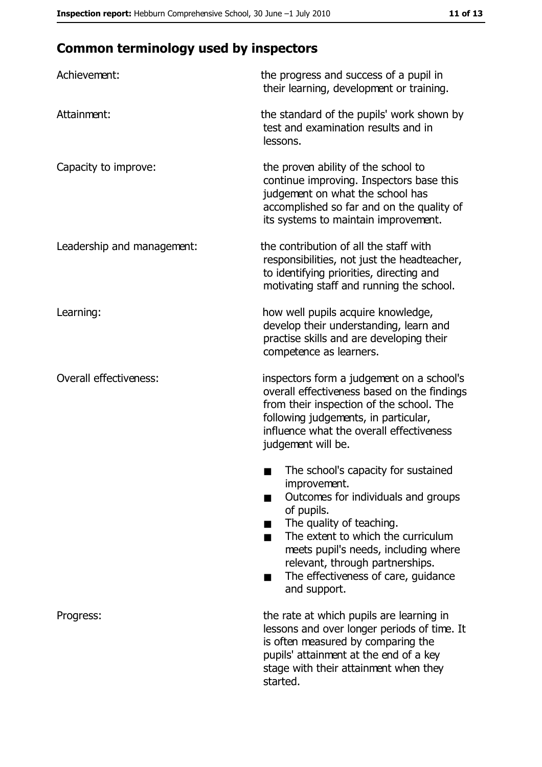# **Common terminology used by inspectors**

| Achievement:                  | the progress and success of a pupil in<br>their learning, development or training.                                                                                                                                                                                                                           |
|-------------------------------|--------------------------------------------------------------------------------------------------------------------------------------------------------------------------------------------------------------------------------------------------------------------------------------------------------------|
| Attainment:                   | the standard of the pupils' work shown by<br>test and examination results and in<br>lessons.                                                                                                                                                                                                                 |
| Capacity to improve:          | the proven ability of the school to<br>continue improving. Inspectors base this<br>judgement on what the school has<br>accomplished so far and on the quality of<br>its systems to maintain improvement.                                                                                                     |
| Leadership and management:    | the contribution of all the staff with<br>responsibilities, not just the headteacher,<br>to identifying priorities, directing and<br>motivating staff and running the school.                                                                                                                                |
| Learning:                     | how well pupils acquire knowledge,<br>develop their understanding, learn and<br>practise skills and are developing their<br>competence as learners.                                                                                                                                                          |
| <b>Overall effectiveness:</b> | inspectors form a judgement on a school's<br>overall effectiveness based on the findings<br>from their inspection of the school. The<br>following judgements, in particular,<br>influence what the overall effectiveness<br>judgement will be.                                                               |
|                               | The school's capacity for sustained<br>improvement.<br>Outcomes for individuals and groups<br>of pupils.<br>The quality of teaching.<br>The extent to which the curriculum<br>meets pupil's needs, including where<br>relevant, through partnerships.<br>The effectiveness of care, guidance<br>and support. |
| Progress:                     | the rate at which pupils are learning in<br>lessons and over longer periods of time. It<br>is often measured by comparing the<br>pupils' attainment at the end of a key<br>stage with their attainment when they<br>started.                                                                                 |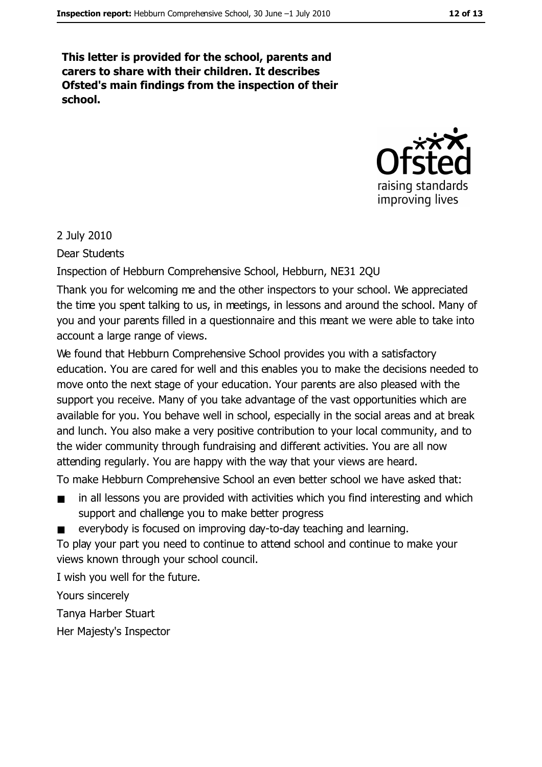This letter is provided for the school, parents and carers to share with their children. It describes Ofsted's main findings from the inspection of their school.



#### 2 July 2010

Dear Students

#### Inspection of Hebburn Comprehensive School, Hebburn, NE31 2QU

Thank you for welcoming me and the other inspectors to your school. We appreciated the time you spent talking to us, in meetings, in lessons and around the school. Many of you and your parents filled in a questionnaire and this meant we were able to take into account a large range of views.

We found that Hebburn Comprehensive School provides you with a satisfactory education. You are cared for well and this enables you to make the decisions needed to move onto the next stage of your education. Your parents are also pleased with the support you receive. Many of you take advantage of the vast opportunities which are available for you. You behave well in school, especially in the social areas and at break and lunch. You also make a very positive contribution to your local community, and to the wider community through fundraising and different activities. You are all now attending regularly. You are happy with the way that your views are heard.

To make Hebburn Comprehensive School an even better school we have asked that:

- in all lessons you are provided with activities which you find interesting and which  $\blacksquare$ support and challenge you to make better progress
- everybody is focused on improving day-to-day teaching and learning.

To play your part you need to continue to attend school and continue to make your views known through your school council.

I wish you well for the future.

Yours sincerely

Tanya Harber Stuart

Her Majesty's Inspector